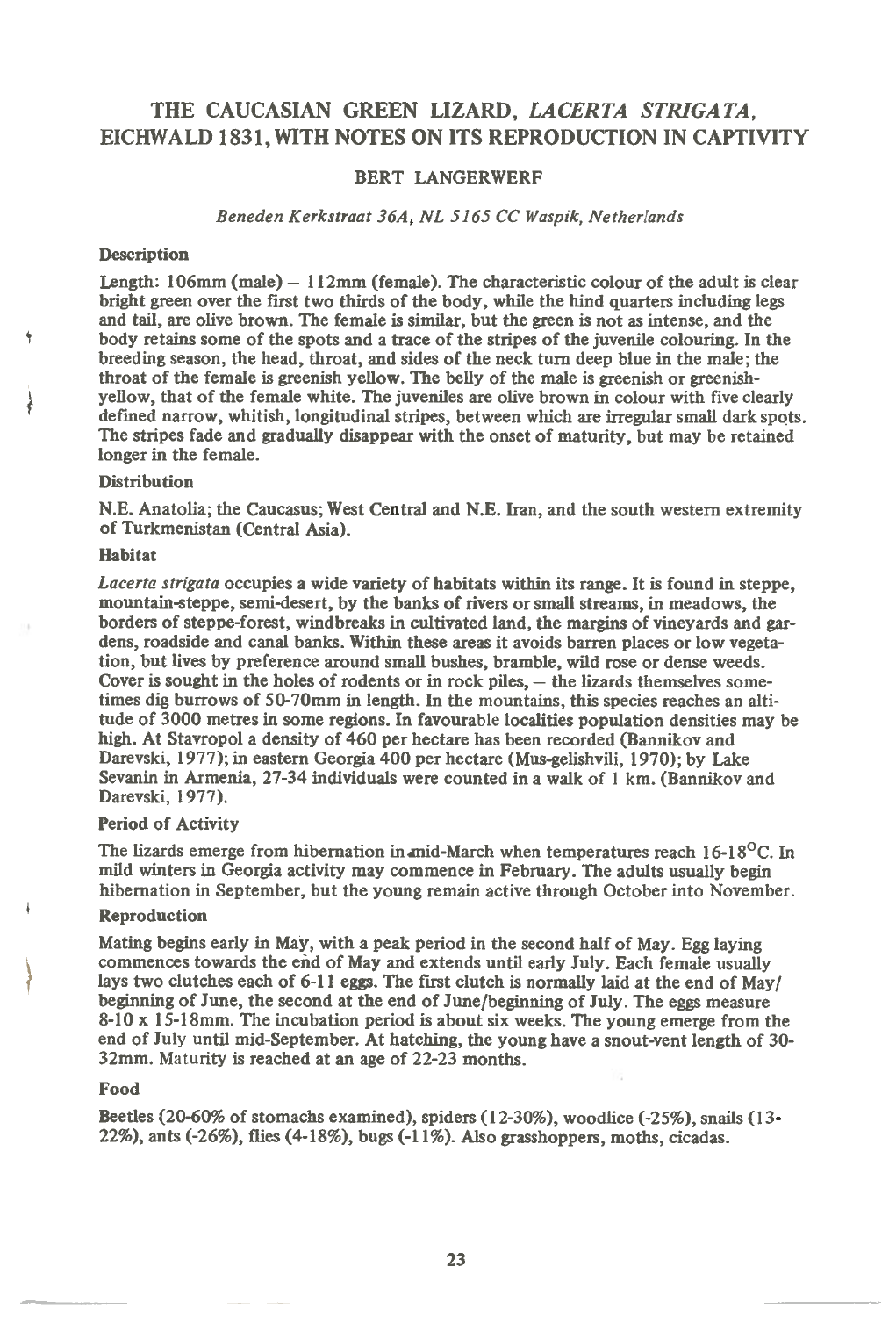# **THE CAUCASIAN GREEN LIZARD,** *LACERTA STRIGATA,*  **EICHWALD 1831, WITH NOTES ON ITS REPRODUCTION IN CAPTIVITY**

## **BERT LANGERWERF**

### *Beneden Kerkstraat 36A, NL 5165 CC Waspik, Netherlands*

### **Description**

**Length: 106mm (male) — 112mm (female). The characteristic colour of the adult is clear bright green over the first two thirds of the body, while the hind quarters including legs and tail, are olive brown. The female is similar, but the green is not as intense, and the body retains some of the spots and a trace of the stripes of the juvenile colouring. In the breeding season, the head, throat, and sides of the neck turn deep blue in the male; the throat of the female is greenish yellow. The belly of the male is greenish or greenishyellow, that of the female white. The juveniles are olive brown in colour with five clearly defined narrow, whitish, longitudinal stripes, between which are irregular small dark spots. The stripes fade and gradually disappear with the onset of maturity, but may be retained longer in the female.** 

### **Distribution**

**N.E. Anatolia; the Caucasus; West Central and N.E. Iran, and the south western extremity of Turkmenistan (Central Asia).** 

#### **Habitat**

*Lacerta strigata* **occupies a wide variety of habitats within its range. It is found in steppe, mountain-steppe, semi-desert, by the banks of rivers or small streams, in meadows, the borders of steppe-forest, windbreaks in cultivated land, the margins of vineyards and gardens, roadside and canal banks. Within these areas it avoids barren places or low vegetation, but lives by preference around small bushes, bramble, wild rose or dense weeds. Cover is sought in the holes of rodents or in rock piles, — the lizards themselves sometimes dig burrows of 50-70mm in length. In the mountains, this species reaches an altitude of 3000 metres in some regions. In favourable localities population densities may be high. At Stavropol a density of 460 per hectare has been recorded (Bannikov and Darevski, 1977); in eastern Georgia 400 per hectare (Mus-gelishvili, 1970); by Lake Sevanin in Armenia, 27-34 individuals were counted in a walk of 1 km. (Bannikov and Darevski, 1977).** 

#### **Period of Activity**

**The lizards emerge from hibernation inanid-March when temperatures reach 16-18°C. In mild winters in Georgia activity may commence in February. The adults usually begin hibernation in September, but the young remain active through October into November.** 

## **Reproduction**

**Mating begins early in May, with a peak period in the second half of May. Egg laying commences towards the end of May and extends until early July. Each female usually lays two clutches each of 6-11 eggs. The first clutch is normally laid at the end of May/ beginning of June, the second at the end of June/beginning of July. The eggs measure 8-10 x 15-18mm. The incubation period is about six weeks. The young emerge from the end of July until mid-September. At hatching, the young have a snout-vent length of 30- 32mm. Maturity is reached at an age of 22-23 months.** 

#### **Food**

**Beetles (20-60% of stomachs examined), spiders (12-30%), woodlice (-25%), snails (13- 22%), ants (-26%), flies (4-18%), bugs (-11%). Also grasshoppers, moths, cicadas.**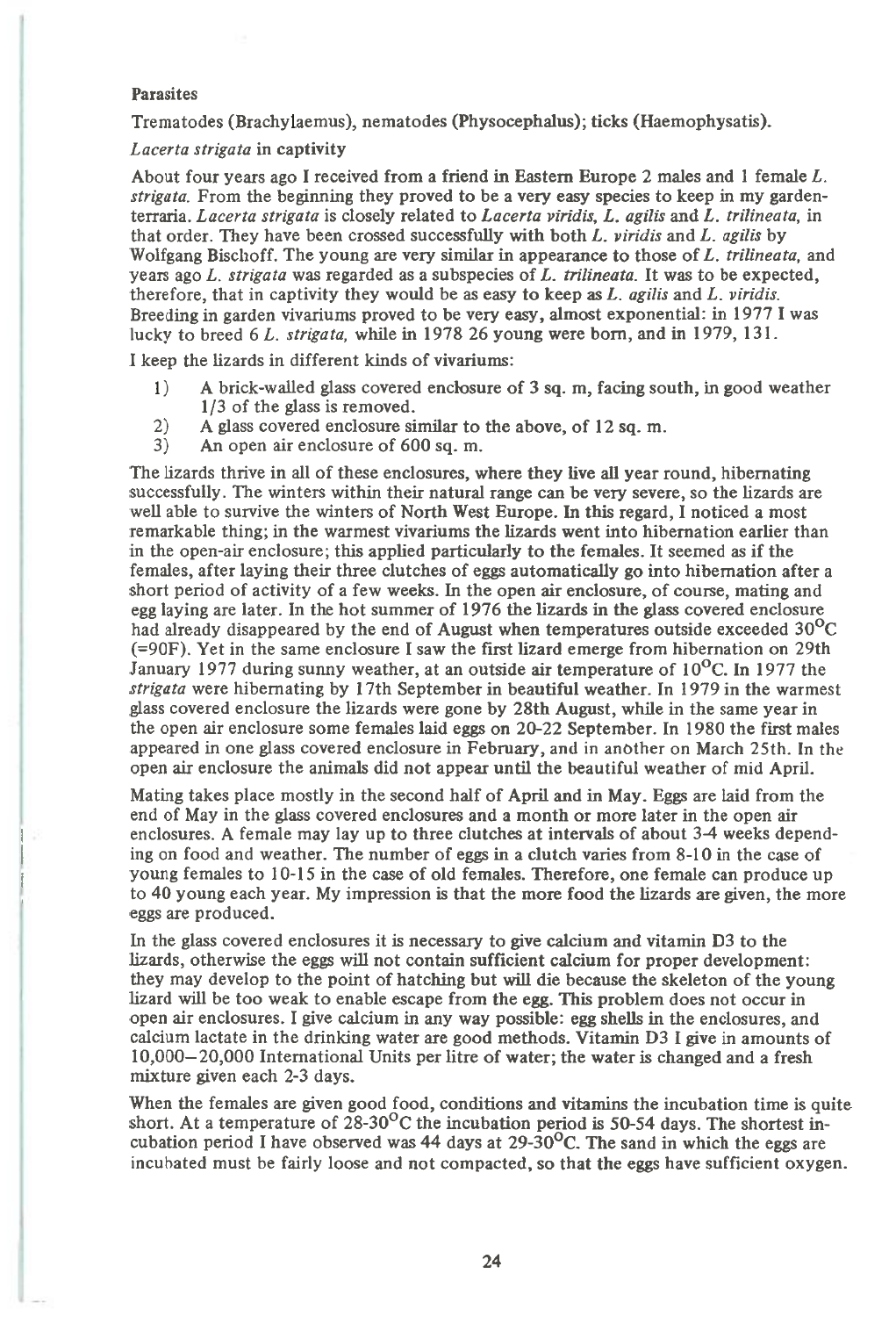### Parasites

Trematodes (Brachylaemus), nematodes (Physocephalus); ticks (Haemophysatis).

### *Lacerta strigata* in captivity

About four years ago I received from a friend in Eastern Europe 2 males and 1 female *L. strigata.* From the beginning they proved to be a very easy species to keep in my gardenterraria. *Lacerta strigata* is closely related to *Lacerta viridis, L. agilis* and *L. trilineata,* in that order. They have been crossed successfully with both *L. viridis* and *L. agilis* by Wolfgang Bischoff. The young are very similar in appearance to those of *L. trilineata,* and years ago *L. strigata* was regarded as a subspecies of *L. trilineata.* It was to be expected, therefore, that in captivity they would be as easy to keep as *L. agilis* and *L. viridis.*  Breeding in garden vivariums proved to be very easy, almost exponential: in 1977 I was lucky to breed 6 *L. strigata,* while in 1978 26 young were born, and in 1979, 131.

I keep the lizards in different kinds of vivariums:

- 1) A brick-walled glass covered enclosure of 3 sq. m, facing south, in good weather 1/3 of the glass is removed.
- 2) A glass covered enclosure similar to the above, of 12 sq. m.<br>3) An open air enclosure of 600 sq. m.
- An open air enclosure of 600 sq. m.

The lizards thrive in all of these enclosures, where they live all year round, hibernating successfully. The winters within their natural range can be very severe, so the lizards are well able to survive the winters of North West Europe. In this regard, I noticed a most remarkable thing; in the warmest vivariums the lizards went into hibernation earlier than in the open-air enclosure; this applied particularly to the females. It seemed as if the females, after laying their three clutches of eggs automatically go into hibernation after a short period of activity of a few weeks. In the open air enclosure, of course, mating and egg laying are later. In the hot summer of 1976 the lizards in the glass covered enclosure had already disappeared by the end of August when temperatures outside exceeded  $30^{\circ}$ C (=90F). Yet in the same enclosure I saw the first lizard emerge from hibernation on 29th January 1977 during sunny weather, at an outside air temperature of 10<sup>o</sup>C. In 1977 the *strigata* were hibernating by 17th September in beautiful weather. In 1979 in the warmest glass covered enclosure the lizards were gone by 28th August, while in the same year in the open air enclosure some females laid eggs on 20-22 September. In 1980 the first males appeared in one glass covered enclosure in February, and *in* another on March 25th. In the open air enclosure the animals did not appear until the beautiful weather of mid April.

Mating takes place mostly in the second half of April and in May. Eggs are laid from the end of May in the glass covered enclosures and a month or more later in the open air enclosures. A female may lay up to three clutches at intervals of about 3-4 weeks depending on food and weather. The number of eggs in a clutch varies from 8-10 in the case of young females to 10-15 in the case of old females. Therefore, one female can produce up to 40 young each year. My impression is that the more food the lizards are given, the more eggs are produced.

In the glass covered enclosures it is necessary to give calcium and vitamin D3 to the lizards, otherwise the eggs will not contain sufficient calcium for proper development: they may develop to the point of hatching but will die because the skeleton of the young lizard will be too weak to enable escape from the egg. This problem does not occur in open air enclosures. I give calcium in any way possible: egg shells in the enclosures, and calcium lactate in the drinking water are good methods. Vitamin D3 I give in amounts of 10,000-20,000 International Units per litre of water; the water is changed and a fresh mixture given each 2-3 days.

When the females are given good food, conditions and vitamins the incubation time is quite short. At a temperature of 28-30<sup>o</sup>C the incubation period is 50-54 days. The shortest incubation period I have observed was 44 days at 29-30 $\rm{^{\circ}C}$ . The sand in which the eggs are incubated must be fairly loose and not compacted, so that the eggs have sufficient oxygen.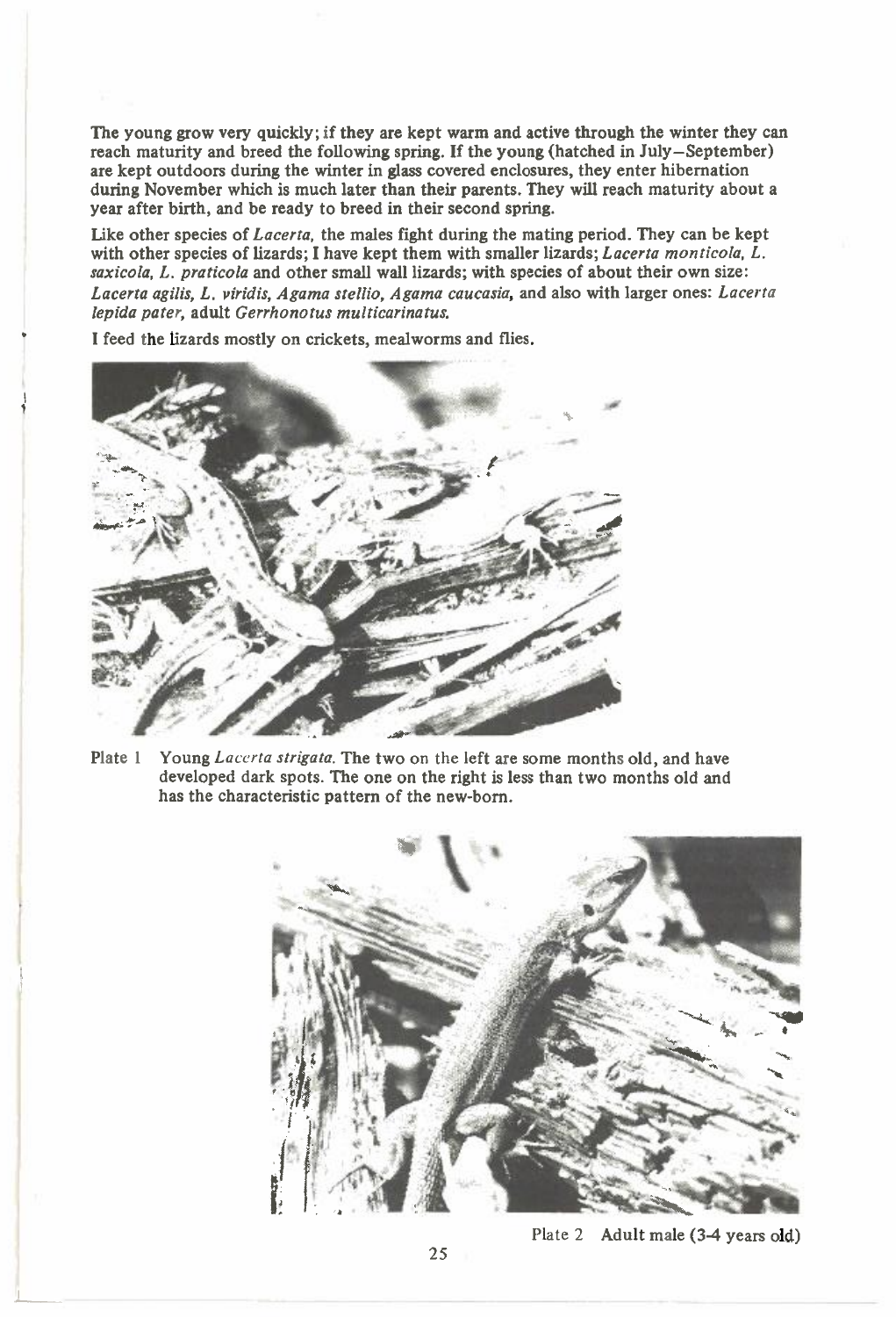**The young grow very quickly; if they are kept warm and active through the winter they can reach maturity and breed the following spring. If the young (hatched in July—September) are kept outdoors during the winter in glass covered enclosures, they enter hibernation during November which is much later than their parents. They will reach maturity about a year after birth, and be ready to breed in their second spring.** 

**Like other species of** *Lacerta,* **the males fight during the mating period. They can be kept with other species of lizards; I have kept them with smaller lizards;** *Lacerta monticola, L. saxicola, L. praticola* **and other small wall lizards; with species of about their own size:**  *Lacerta agilis, L. viridis, Agama stellio, Agama caucasia,* **and also with larger ones:** *Lacerta lepida pater,* **adult** *Gerrhonotus multicarinatus.* 

**I feed the lizards mostly on crickets, mealworms and flies.** 



**Plate 1 Young** *Lacerta strigata.* The two on the left are some months old, and have developed dark spots. The one on the right is less than two months old and has the characteristic pattern of the new-born.



Plate 2 **Adult male (3-4 years old)**